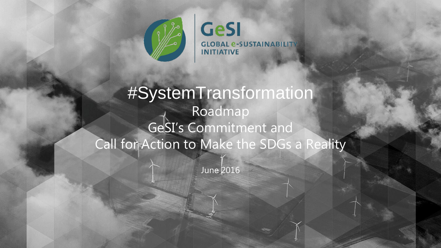

**GeSI**<br>GLOBAL e-SUSTAINABILITY

#SystemTransformation Roadmap GeSI's Commitment and Call for Action to Make the SDGs a Reality

June 2016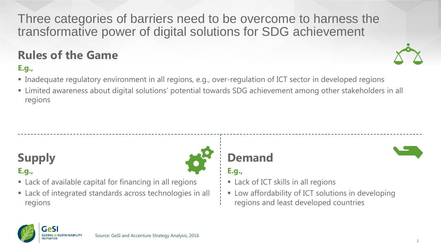Three categories of barriers need to be overcome to harness the transformative power of digital solutions for SDG achievement

## **Rules of the Game**



- Inadequate regulatory environment in all regions, e.g., over-regulation of ICT sector in developed regions
- Limited awareness about digital solutions' potential towards SDG achievement among other stakeholders in all regions

# **Supply**

**E.g.,** 

- Lack of available capital for financing in all regions
- Lack of integrated standards across technologies in all regions

## **Demand**

### **E.g.,**

- Lack of ICT skills in all regions
- Low affordability of ICT solutions in developing regions and least developed countries



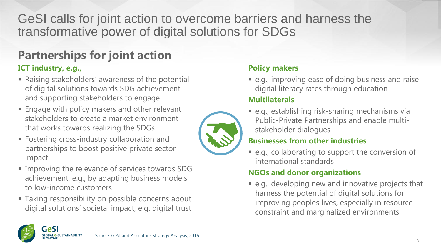GeSI calls for joint action to overcome barriers and harness the transformative power of digital solutions for SDGs

## **Partnerships for joint action**

#### **ICT industry, e.g.,**

- Raising stakeholders' awareness of the potential of digital solutions towards SDG achievement and supporting stakeholders to engage
- **Engage with policy makers and other relevant** stakeholders to create a market environment that works towards realizing the SDGs
- **Fostering cross-industry collaboration and** partnerships to boost positive private sector impact
- **IMPROVING THE REVALUATE:** Improving the relevance of services towards SDG achievement, e.g., by adapting business models to low-income customers
- Taking responsibility on possible concerns about digital solutions' societal impact, e.g. digital trust

#### **Policy makers**

 e.g., improving ease of doing business and raise digital literacy rates through education

#### **Multilaterals**

 e.g., establishing risk-sharing mechanisms via Public-Private Partnerships and enable multistakeholder dialogues

#### **Businesses from other industries**

■ e.g., collaborating to support the conversion of international standards

#### **NGOs and donor organizations**

 e.g., developing new and innovative projects that harness the potential of digital solutions for improving peoples lives, especially in resource constraint and marginalized environments





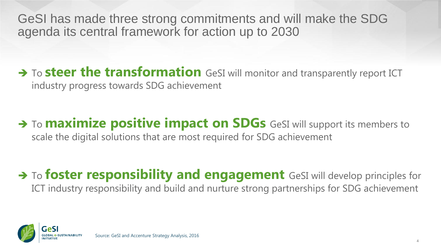GeSI has made three strong commitments and will make the SDG agenda its central framework for action up to 2030

### → To **steer the transformation** GeSI will monitor and transparently report ICT industry progress towards SDG achievement

### $\rightarrow$  To **maximize positive impact on SDGs** GeSI will support its members to scale the digital solutions that are most required for SDG achievement

### $\rightarrow$  To foster responsibility and engagement GeSI will develop principles for ICT industry responsibility and build and nurture strong partnerships for SDG achievement

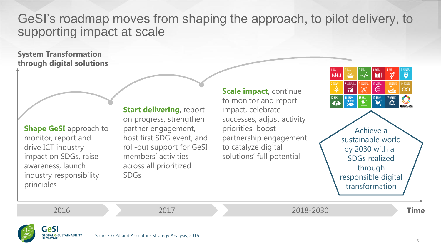GeSI's roadmap moves from shaping the approach, to pilot delivery, to supporting impact at scale

**System Transformation through digital solutions**

**Shape GeSI** approach to monitor, report and drive ICT industry impact on SDGs, raise awareness, launch industry responsibility principles

**Start delivering, report** on progress, strengthen partner engagement, host first SDG event, and roll-out support for GeSI members' activities across all prioritized SDGs

**Scale impact**, continue to monitor and report impact, celebrate successes, adjust activity priorities, boost partnership engagement to catalyze digital solutions' full potential



Achieve a sustainable world by 2030 with all SDGs realized through responsible digital transformation

2016 2017 2018-2030 **Time**